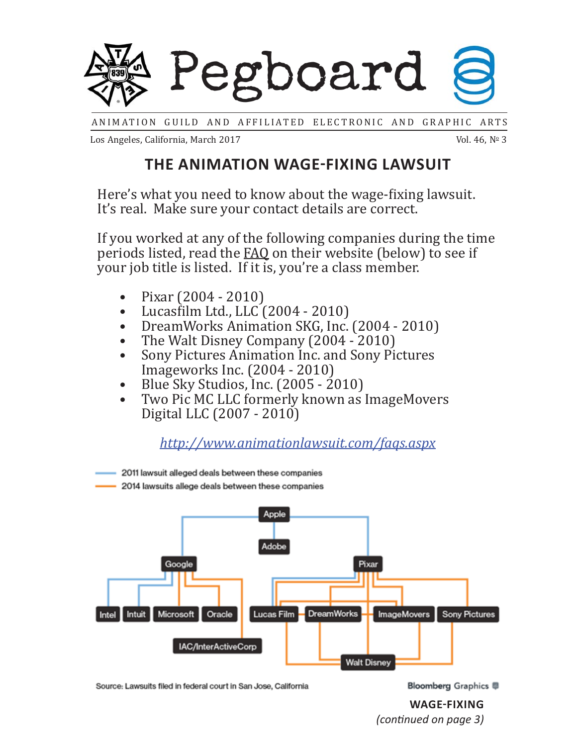

ANIMATION GUILD AND AFFILIATED ELECTRONIC AND GRAPHIC ARTS

Los Angeles, California, March 2017

Vol. 46,  $N^{\circ}$  3

### **THE ANIMATION WAGE-FIXING LAWSUIT**

Here's what you need to know about the wage-fixing lawsuit. It's real. Make sure your contact details are correct.

If you worked at any of the following companies during the time periods listed, read the FAQ on their website (below) to see if your job title is listed. If it is, you're a class member.

- Pixar (2004 2010)
- Lucasϐilm Ltd., LLC (2004 2010)
- DreamWorks Animation SKG, Inc. (2004 2010)
- The Walt Disney Company (2004 2010)
- Sony Pictures Animation Inc. and Sony Pictures Imageworks Inc. (2004 - 2010)
- Blue Sky Studios, Inc. (2005 2010)
- Two Pic MC LLC formerly known as ImageMovers Digital LLC (2007 - 2010)

*http://www.animationlawsuit.com/faqs.aspx*

2011 lawsuit alleged deals between these companies 2014 lawsuits allege deals between these companies any thing in the mail, it is likely because the mail, it is likely because the  $C$ don't have a correct address for you. Contact the main second update and update them and update them and update  $\sim$ Adobe Google **Corresponding the paperwork** and paperwork, threw away threw away threw away threw away threw away threw it was away to the paperwork, the paperwork, the paperwork, threw away to the paperwork, the paperwork, the p scame. Either way, contact the contact the contact the contact the contact the contact the contact the contact t whether you are in the case of the class of the context or not. Intel Intuit Microsoft Oracle Lucas Film DreamWorks - ImageMovers Sony Pictures IAC/InterActiveCorp **Walt Disney** here is the timeline of some court of the time of some court of some court of some court of some court of the time

Source: Lawsuits filed in federal court<br>.

**WAGE-FIXING** *(conƟ nued on page 3)*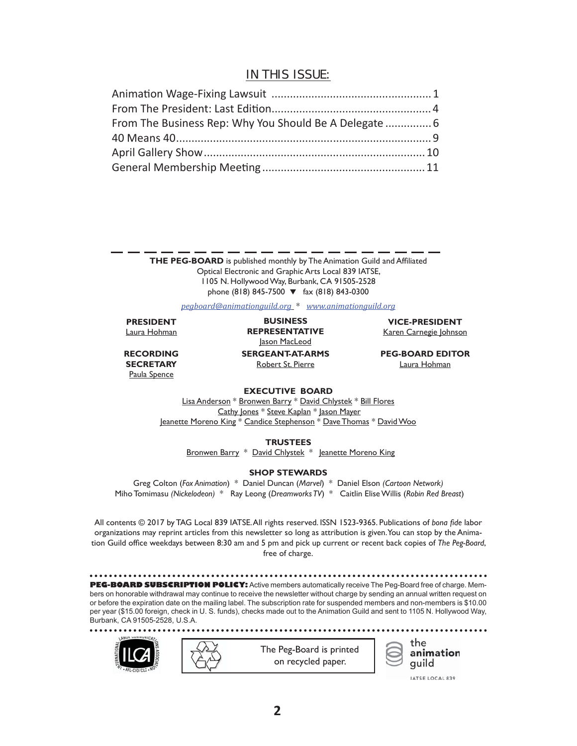### IN THIS ISSUE:

**THE PEG-BOARD** is published monthly by The Animation Guild and Affiliated Optical Electronic and Graphic Arts Local 839 IATSE, 1105 N. HollywoodWay, Burbank, CA 91505-2528 phone (818) 845-7500  $\blacktriangledown$  fax (818) 843-0300

### *pegboard@animationguild.org* \* *www.animationguild.org*

**PRESIDENT** Laura Hohman

**RECORDING SECRETARY** Paula Spence

**SERGEANT-AT-ARMS** Robert St. Pierre **BUSINESS REPRESENTATIVE** Jason MacLeod

**VICE-PRESIDENT** Karen Carnegie Johnson

**PEG-BOARD EDITOR** Laura Hohman

### **EXECUTIVE BOARD**

Lisa Anderson \* Bronwen Barry \* David Chlystek \* Bill Flores Cathy Jones \* Steve Kaplan \* Jason Mayer Jeanette Moreno King \* Candice Stephenson \* Dave Thomas \* David Woo

**TRUSTEES**

Bronwen Barry \* David Chlystek \* Jeanette Moreno King

#### **SHOP STEWARDS**

Greg Colton (*Fox Animation*) \* Daniel Duncan (*Marvel*) \* Daniel Elson *(Cartoon Network)*  Miho Tomimasu *(Nickelodeon)* \* Ray Leong (*Dreamworks TV*) \* Caitlin Elise Willis (*Robin Red Breast*)

All contents © 2017 by TAG Local 839 IATSE.All rights reserved. ISSN 1523-9365. Publications of *bona fi de* labor organizations may reprint articles from this newsletter so long as attribution is given.You can stop by the Animation Guild office weekdays between 8:30 am and 5 pm and pick up current or recent back copies of *The Peg-Board*, free of charge.

**PEG-BOARD SUBSCRIPTION POLICY:** Active members automatically receive The Peg-Board free of charge. Members on honorable withdrawal may continue to receive the newsletter without charge by sending an annual written request on or before the expiration date on the mailing label. The subscription rate for suspended members and non-members is \$10.00 per year (\$15.00 foreign, check in U. S. funds), checks made out to the Animation Guild and sent to 1105 N. Hollywood Way, Burbank, CA 91505-2528, U.S.A.







IATSE LOCAL 839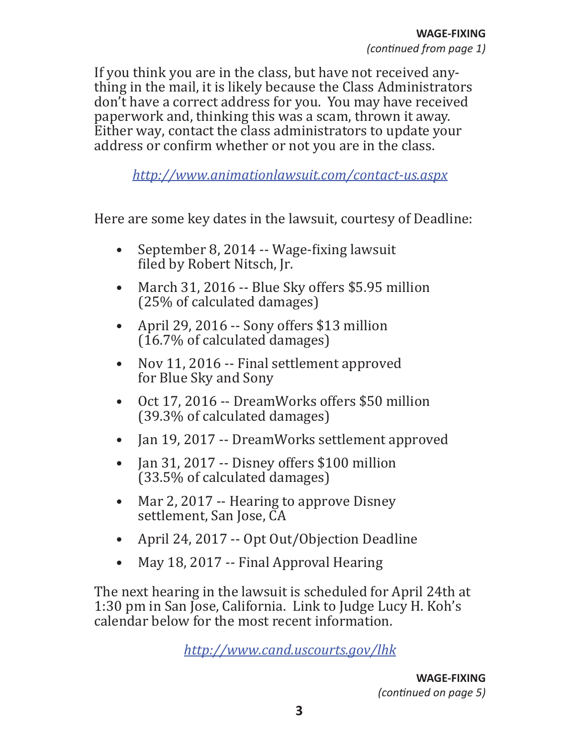If you think you are in the class, but have not received anything in the mail, it is likely because the Class Administrators don't have a correct address for you. You may have received paperwork and, thinking this was a scam, thrown it away. Either way, contact the class administrators to update your address or confirm whether or not you are in the class.

*http://www.animationlawsuit.com/contact-us.aspx*

Here are some key dates in the lawsuit, courtesy of Deadline:

- September 8, 2014  $-$  Wage-fixing lawsuit filed by Robert Nitsch, Jr.
- March 31, 2016 -- Blue Sky offers \$5.95 million (25% of calculated damages)
- April 29, 2016 -- Sony offers \$13 million  $(16.7\%$  of calculated damages)
- Nov 11, 2016 -- Final settlement approved for Blue Sky and Sony
- Oct 17, 2016 -- DreamWorks offers \$50 million (39.3% of calculated damages)
- Jan 19, 2017 -- DreamWorks settlement approved
- Jan 31, 2017 -- Disney offers \$100 million (33.5% of calculated damages)
- Mar 2, 2017 -- Hearing to approve Disney settlement, San Jose, CA
- April 24, 2017 -- Opt Out/Objection Deadline
- May 18, 2017 -- Final Approval Hearing

The next hearing in the lawsuit is scheduled for April 24th at 1:30 pm in San Jose, California. Link to Judge Lucy H. Koh's calendar below for the most recent information.

*http://www.cand.uscourts.gov/lhk*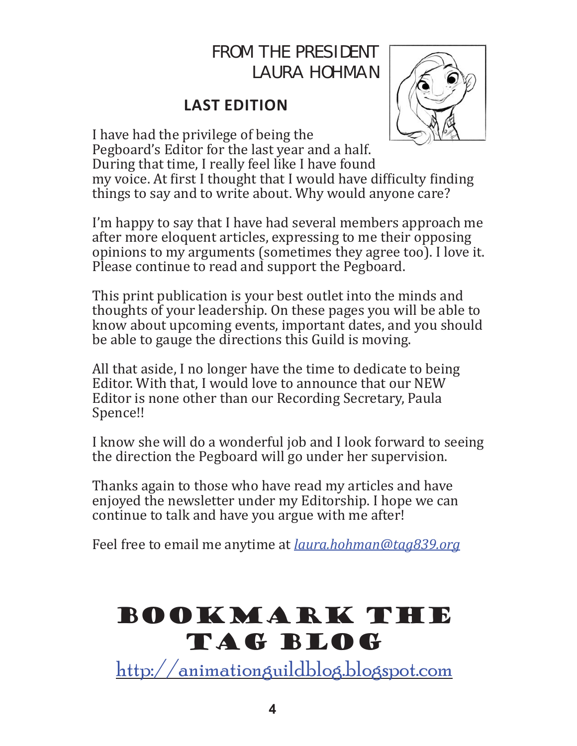### FROM THE PRESIDENT LAURA HOHMAN

### **LAST EDITION**



I have had the privilege of being the Pegboard's Editor for the last year and a half. During that time, I really feel like I have found my voice. At first I thought that I would have difficulty finding things to say and to write about. Why would anyone care?

I'm happy to say that I have had several members approach me after more eloquent articles, expressing to me their opposing opinions to my arguments (sometimes they agree too). I love it. Please continue to read and support the Pegboard.

This print publication is your best outlet into the minds and thoughts of your leadership. On these pages you will be able to know about upcoming events, important dates, and you should be able to gauge the directions this Guild is moving.

All that aside, I no longer have the time to dedicate to being Editor. With that, I would love to announce that our NEW Editor is none other than our Recording Secretary, Paula Spence!!

I know she will do a wonderful job and I look forward to seeing the direction the Pegboard will go under her supervision.

Thanks again to those who have read my articles and have enjoyed the newsletter under my Editorship. I hope we can continue to talk and have you argue with me after!

Feel free to email me anytime at *laura.hohman@tag839.org*

# BOOKMARK THE TAG BLOG

http://animationguildblog.blogspot.com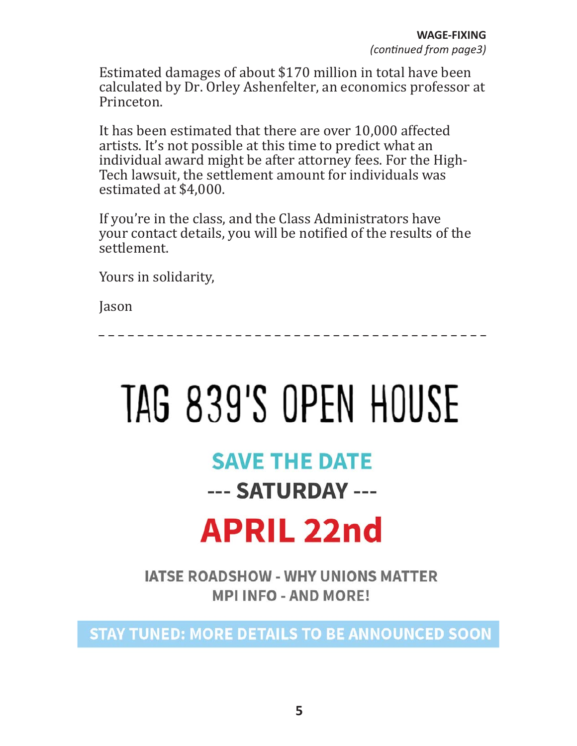Estimated damages of about \$170 million in total have been calculated by Dr. Orley Ashenfelter, an economics professor at Princeton.

It has been estimated that there are over 10,000 affected artists. It's not possible at this time to predict what an individual award might be after attorney fees. For the High-Tech lawsuit, the settlement amount for individuals was estimated at \$4,000.

If you're in the class, and the Class Administrators have your contact details, you will be notified of the results of the settlement.

Yours in solidarity,

Jason

# TAG 839'S OPEN HOUSE

### **SAVE THE DATE**

--- SATURDAY ---

# **APRIL 22nd**

**IATSE ROADSHOW - WHY UNIONS MATTER MPI INFO - AND MORE!** 

**STAY TUNED: MORE DETAILS TO BE ANNOUNCED SOON**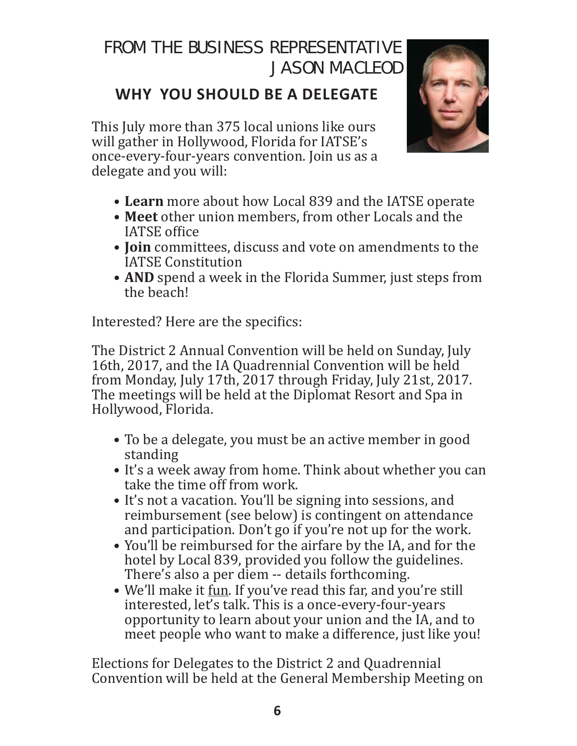### FROM THE BUSINESS REPRESENTATIVE JASON MACLEOD

### **WHY YOU SHOULD BE A DELEGATE**

This July more than 375 local unions like ours will gather in Hollywood, Florida for IATSE's once-every-four-years convention. Join us as a delegate and you will:



- **Learn** more about how Local 839 and the IATSE operate
- **Meet** other union members, from other Locals and the IATSE office
- **Join** committees, discuss and vote on amendments to the IATSE Constitution
- **AND** spend a week in the Florida Summer, just steps from the beach!

Interested? Here are the specifics:

The District 2 Annual Convention will be held on Sunday, July 16th, 2017, and the IA Quadrennial Convention will be held from Monday, July 17th, 2017 through Friday, July 21st, 2017. The meetings will be held at the Diplomat Resort and Spa in Hollywood, Florida.

- To be a delegate, you must be an active member in good standing
- It's a week away from home. Think about whether you can take the time off from work.
- It's not a vacation. You'll be signing into sessions, and reimbursement (see below) is contingent on attendance and participation. Don't go if you're not up for the work.
- You'll be reimbursed for the airfare by the IA, and for the hotel by Local 839, provided you follow the guidelines. There's also a per diem -- details forthcoming.
- We'll make it fun. If you've read this far, and you're still interested, let's talk. This is a once-every-four-years opportunity to learn about your union and the IA, and to meet people who want to make a difference, just like you!

Elections for Delegates to the District 2 and Quadrennial Convention will be held at the General Membership Meeting on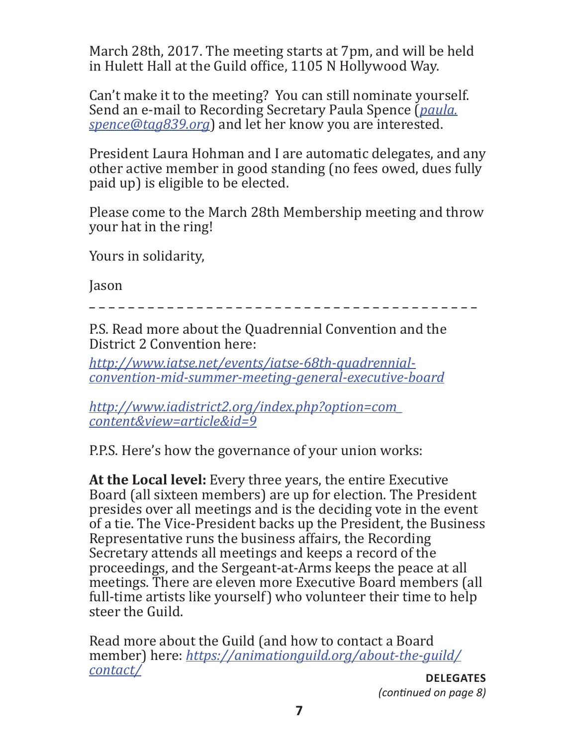March 28th, 2017. The meeting starts at 7pm, and will be held in Hulett Hall at the Guild office, 1105 N Hollywood Way.

Can't make it to the meeting? You can still nominate yourself. Send an e-mail to Recording Secretary Paula Spence (*paula. spence@tag839.org*) and let her know you are interested.

President Laura Hohman and I are automatic delegates, and any other active member in good standing (no fees owed, dues fully paid up) is eligible to be elected.

Please come to the March 28th Membership meeting and throw your hat in the ring!

Yours in solidarity,

Jason

P.S. Read more about the Quadrennial Convention and the District 2 Convention here:

*http://www.iatse.net/events/iatse-68th-quadrennialconvention-mid-summer-meeting-general-executive-board*

*http://www.iadistrict2.org/index.php?option=com\_ content&view=article&id=9*

P.P.S. Here's how the governance of your union works:

**At the Local level:** Every three years, the entire Executive Board (all sixteen members) are up for election. The President presides over all meetings and is the deciding vote in the event of a tie. The Vice-President backs up the President, the Business Representative runs the business affairs, the Recording Secretary attends all meetings and keeps a record of the proceedings, and the Sergeant-at-Arms keeps the peace at all meetings. There are eleven more Executive Board members (all full-time artists like yourself) who volunteer their time to help steer the Guild.

Read more about the Guild (and how to contact a Board member) here: *https://animationguild.org/about-the-guild/ contact/* **DELEGATES**

*(conƟ nued on page 8)*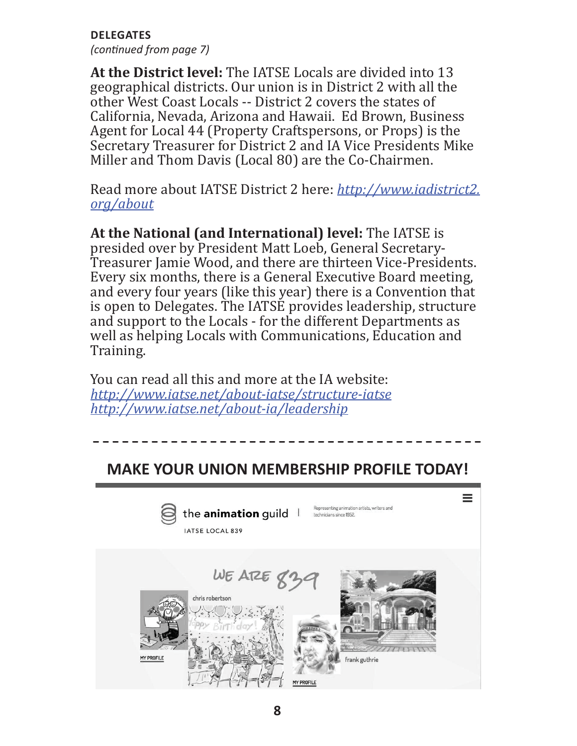**DELEGATES**

*(conƟ nued from page 7)*

**At the District level:** The IATSE Locals are divided into 13 geographical districts. Our union is in District 2 with all the other West Coast Locals -- District 2 covers the states of California, Nevada, Arizona and Hawaii. Ed Brown, Business Agent for Local 44 (Property Craftspersons, or Props) is the Secretary Treasurer for District 2 and IA Vice Presidents Mike Miller and Thom Davis (Local 80) are the Co-Chairmen.

Read more about IATSE District 2 here: *http://www.iadistrict2. org/about*

**At the National (and International) level:** The IATSE is presided over by President Matt Loeb, General Secretary-Treasurer Jamie Wood, and there are thirteen Vice-Presidents. Every six months, there is a General Executive Board meeting, and every four years (like this year) there is a Convention that is open to Delegates. The IATSE provides leadership, structure and support to the Locals - for the different Departments as well as helping Locals with Communications, Education and Training.

You can read all this and more at the IA website: *http://www.iatse.net/about-iatse/structure-iatse http://www.iatse.net/about-ia/leadership*

### **MAKE YOUR UNION MEMBERSHIP PROFILE TODAY!**

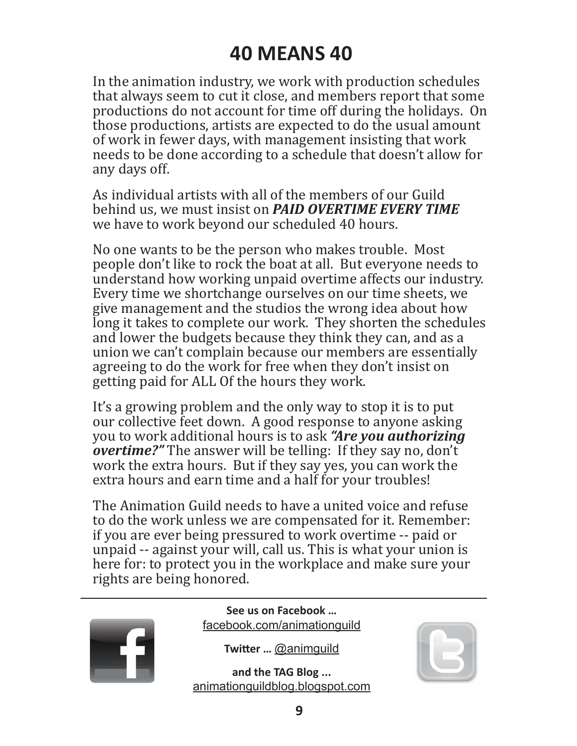## **40 MEANS 40**

In the animation industry, we work with production schedules that always seem to cut it close, and members report that some productions do not account for time off during the holidays. On those productions, artists are expected to do the usual amount of work in fewer days, with management insisting that work needs to be done according to a schedule that doesn't allow for any days off.

As individual artists with all of the members of our Guild behind us, we must insist on *PAID OVERTIME EVERY TIME* we have to work beyond our scheduled 40 hours.

No one wants to be the person who makes trouble. Most people don't like to rock the boat at all. But everyone needs to understand how working unpaid overtime affects our industry. Every time we shortchange ourselves on our time sheets, we give management and the studios the wrong idea about how long it takes to complete our work. They shorten the schedules and lower the budgets because they think they can, and as a union we can't complain because our members are essentially agreeing to do the work for free when they don't insist on getting paid for ALL Of the hours they work.

It's a growing problem and the only way to stop it is to put our collective feet down. A good response to anyone asking you to work additional hours is to ask *"Are you authorizing overtime?"* The answer will be telling: If they say no, don't work the extra hours. But if they say yes, you can work the extra hours and earn time and a half for your troubles!

The Animation Guild needs to have a united voice and refuse to do the work unless we are compensated for it. Remember: if you are ever being pressured to work overtime -- paid or unpaid -- against your will, call us. This is what your union is here for: to protect you in the workplace and make sure your rights are being honored.



**See us on Facebook …** facebook.com/animationguild

**Twitter ... @animguild** 

**and the TAG Blog ...** animationguildblog.blogspot.com

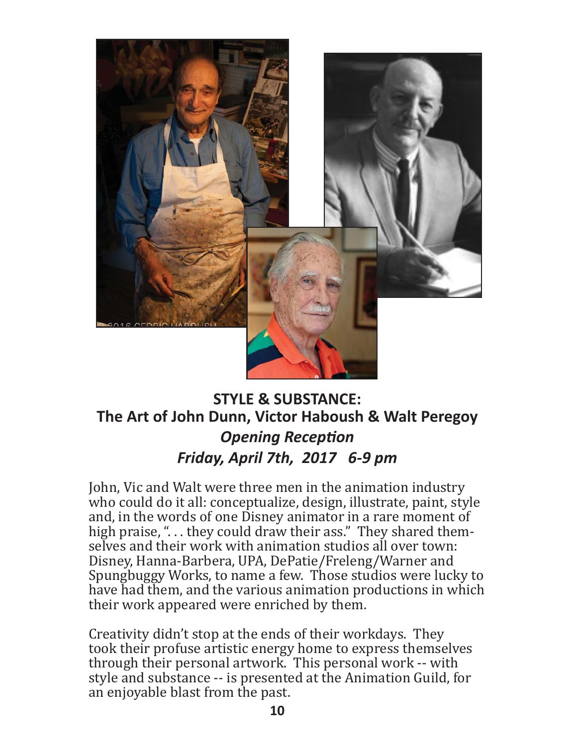

### **STYLE & SUBSTANCE: The Art of John Dunn, Victor Haboush & Walt Peregoy Opening Reception** *Friday, April 7th, 2017 6-9 pm*

John, Vic and Walt were three men in the animation industry who could do it all: conceptualize, design, illustrate, paint, style and, in the words of one Disney animator in a rare moment of high praise, "... they could draw their ass." They shared themselves and their work with animation studios all over town: Disney, Hanna-Barbera, UPA, DePatie/Freleng/Warner and Spungbuggy Works, to name a few. Those studios were lucky to have had them, and the various animation productions in which their work appeared were enriched by them.

Creativity didn't stop at the ends of their workdays. They took their profuse artistic energy home to express themselves through their personal artwork. This personal work -- with style and substance -- is presented at the Animation Guild, for an enjoyable blast from the past.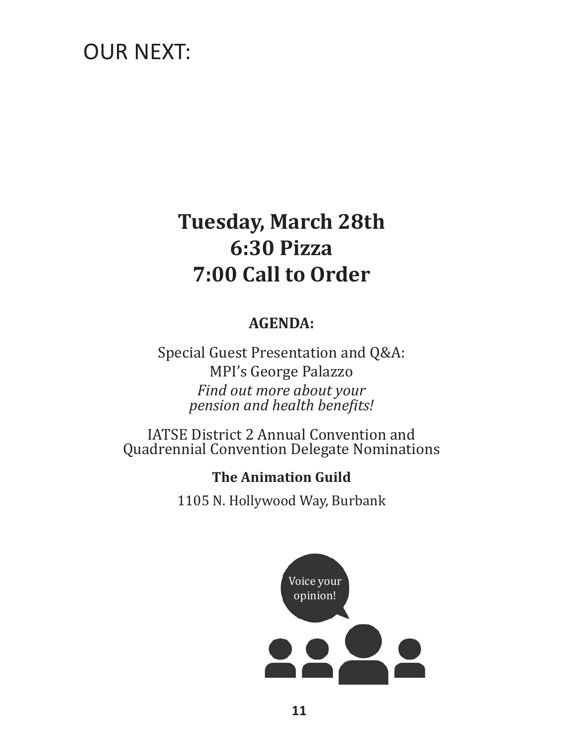## OUR NEXT:

# **Tuesday, March 28th 6:30 Pizza 7:00 Call to Order**

### **AGENDA:**

Special Guest Presentation and Q&A: MPI's George Palazzo *Find out more about your pension and health benefits!* 

IATSE District 2 Annual Convention and Quadrennial Convention Delegate Nominations

**The Animation Guild**

1105 N. Hollywood Way, Burbank